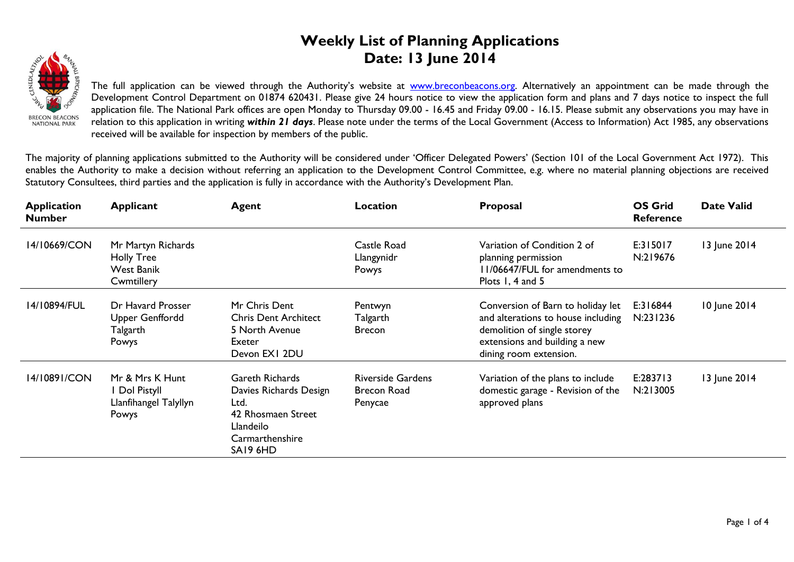## **Weekly List of Planning Applications Date: 13 June 2014**



The full application can be viewed through the Authority's website at **www.breconbeacons.org**. Alternatively an appointment can be made through the Development Control Department on 01874 620431. Please give 24 hours notice to view the application form and plans and 7 days notice to inspect the full application file. The National Park offices are open Monday to Thursday 09.00 - 16.45 and Friday 09.00 - 16.15. Please submit any observations you may have in relation to this application in writing *within 21 days*. Please note under the terms of the Local Government (Access to Information) Act 1985, any observations received will be available for inspection by members of the public.

The majority of planning applications submitted to the Authority will be considered under 'Officer Delegated Powers' (Section 101 of the Local Government Act 1972). This enables the Authority to make a decision without referring an application to the Development Control Committee, e.g. where no material planning objections are received Statutory Consultees, third parties and the application is fully in accordance with the Authority's Development Plan.

| <b>Application</b><br><b>Number</b> | <b>Applicant</b>                                                    | <b>Agent</b>                                                                                                        | Location                                                  | Proposal                                                                                                                                                          | <b>OS Grid</b><br><b>Reference</b> | <b>Date Valid</b> |
|-------------------------------------|---------------------------------------------------------------------|---------------------------------------------------------------------------------------------------------------------|-----------------------------------------------------------|-------------------------------------------------------------------------------------------------------------------------------------------------------------------|------------------------------------|-------------------|
| 14/10669/CON                        | Mr Martyn Richards<br>Holly Tree<br><b>West Banik</b><br>Cwmtillery |                                                                                                                     | Castle Road<br>Llangynidr<br>Powys                        | Variation of Condition 2 of<br>planning permission<br>11/06647/FUL for amendments to<br>Plots 1, 4 and 5                                                          | E:315017<br>N:219676               | 13 June 2014      |
| 14/10894/FUL                        | Dr Havard Prosser<br><b>Upper Genffordd</b><br>Talgarth<br>Powys    | Mr Chris Dent<br><b>Chris Dent Architect</b><br>5 North Avenue<br>Exeter<br>Devon EXI 2DU                           | Pentwyn<br>Talgarth<br><b>Brecon</b>                      | Conversion of Barn to holiday let<br>and alterations to house including<br>demolition of single storey<br>extensions and building a new<br>dining room extension. | E:316844<br>N:231236               | 10 June 2014      |
| 14/10891/CON                        | Mr & Mrs K Hunt<br>I Dol Pistyll<br>Llanfihangel Talyllyn<br>Powys  | Gareth Richards<br>Davies Richards Design<br>Ltd.<br>42 Rhosmaen Street<br>Llandeilo<br>Carmarthenshire<br>SA19 6HD | <b>Riverside Gardens</b><br><b>Brecon Road</b><br>Penycae | Variation of the plans to include<br>domestic garage - Revision of the<br>approved plans                                                                          | E:283713<br>N:213005               | 13 June 2014      |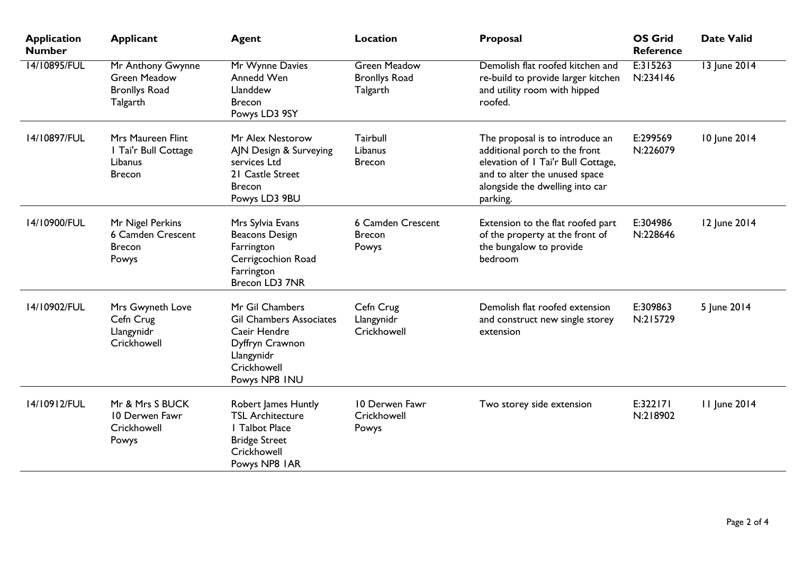| <b>Application</b><br><b>Number</b> | <b>Applicant</b>                                                             | <b>Agent</b>                                                                                                                       | Location                                                | Proposal                                                                                                                                                                               | <b>OS Grid</b><br><b>Reference</b> | <b>Date Valid</b> |
|-------------------------------------|------------------------------------------------------------------------------|------------------------------------------------------------------------------------------------------------------------------------|---------------------------------------------------------|----------------------------------------------------------------------------------------------------------------------------------------------------------------------------------------|------------------------------------|-------------------|
| 14/10895/FUL                        | Mr Anthony Gwynne<br><b>Green Meadow</b><br><b>Bronllys Road</b><br>Talgarth | Mr Wynne Davies<br>Annedd Wen<br>Llanddew<br><b>Brecon</b><br>Powys LD3 9SY                                                        | <b>Green Meadow</b><br><b>Bronllys Road</b><br>Talgarth | Demolish flat roofed kitchen and<br>re-build to provide larger kitchen<br>and utility room with hipped<br>roofed.                                                                      | E:315263<br>N:234146               | 13 June 2014      |
| 14/10897/FUL                        | Mrs Maureen Flint<br>I Tai'r Bull Cottage<br>Libanus<br><b>Brecon</b>        | Mr Alex Nestorow<br>AJN Design & Surveying<br>services Ltd<br>21 Castle Street<br><b>Brecon</b><br>Powys LD3 9BU                   | Tairbull<br>Libanus<br><b>Brecon</b>                    | The proposal is to introduce an<br>additional porch to the front<br>elevation of I Tai'r Bull Cottage,<br>and to alter the unused space<br>alongside the dwelling into car<br>parking. | E:299569<br>N:226079               | 10 June 2014      |
| 14/10900/FUL                        | Mr Nigel Perkins<br>6 Camden Crescent<br><b>Brecon</b><br>Powys              | Mrs Sylvia Evans<br><b>Beacons Design</b><br>Farrington<br>Cerrigcochion Road<br>Farrington<br>Brecon LD3 7NR                      | <b>6 Camden Crescent</b><br><b>Brecon</b><br>Powys      | Extension to the flat roofed part<br>of the property at the front of<br>the bungalow to provide<br>bedroom                                                                             | E:304986<br>N:228646               | 12 June 2014      |
| 14/10902/FUL                        | Mrs Gwyneth Love<br>Cefn Crug<br>Llangynidr<br>Crickhowell                   | Mr Gil Chambers<br><b>Gil Chambers Associates</b><br>Caeir Hendre<br>Dyffryn Crawnon<br>Llangynidr<br>Crickhowell<br>Powys NP8 INU | Cefn Crug<br>Llangynidr<br>Crickhowell                  | Demolish flat roofed extension<br>and construct new single storey<br>extension                                                                                                         | E:309863<br>N:215729               | 5 June 2014       |
| 14/10912/FUL                        | Mr & Mrs S BUCK<br>10 Derwen Fawr<br>Crickhowell<br>Powys                    | Robert James Huntly<br><b>TSL Architecture</b><br><b>I</b> Talbot Place<br><b>Bridge Street</b><br>Crickhowell<br>Powys NP8 IAR    | 10 Derwen Fawr<br>Crickhowell<br>Powys                  | Two storey side extension                                                                                                                                                              | E:322171<br>N:218902               | 11 June 2014      |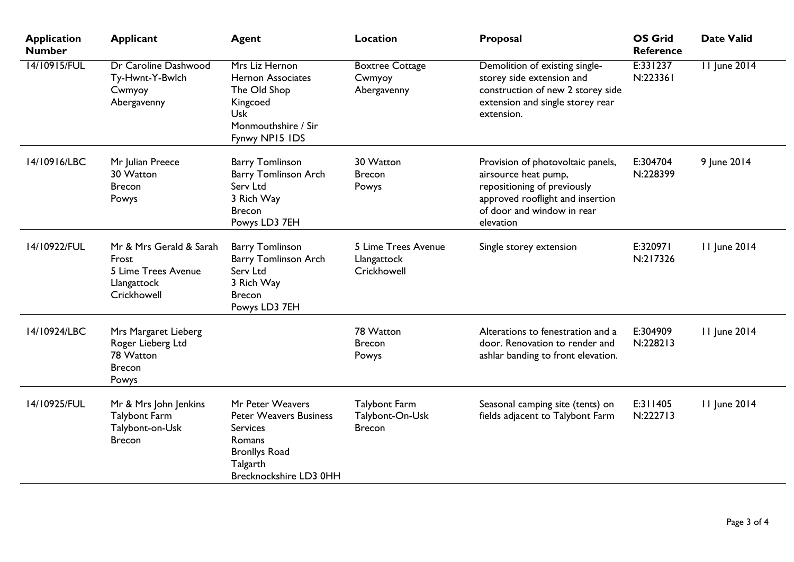| <b>Application</b><br><b>Number</b> | <b>Applicant</b>                                                                      | <b>Agent</b>                                                                                                                                 | <b>Location</b>                                          | Proposal                                                                                                                                                                | <b>OS Grid</b><br><b>Reference</b> | <b>Date Valid</b>   |
|-------------------------------------|---------------------------------------------------------------------------------------|----------------------------------------------------------------------------------------------------------------------------------------------|----------------------------------------------------------|-------------------------------------------------------------------------------------------------------------------------------------------------------------------------|------------------------------------|---------------------|
| 14/10915/FUL                        | Dr Caroline Dashwood<br>Ty-Hwnt-Y-Bwlch<br>Cwmyoy<br>Abergavenny                      | Mrs Liz Hernon<br><b>Hernon Associates</b><br>The Old Shop<br>Kingcoed<br><b>Usk</b><br>Monmouthshire / Sir<br>Fynwy NP15 IDS                | <b>Boxtree Cottage</b><br>Cwmyoy<br>Abergavenny          | Demolition of existing single-<br>storey side extension and<br>construction of new 2 storey side<br>extension and single storey rear<br>extension.                      | E:331237<br>N:223361               | <b>11 June 2014</b> |
| 14/10916/LBC                        | Mr Julian Preece<br>30 Watton<br><b>Brecon</b><br>Powys                               | <b>Barry Tomlinson</b><br><b>Barry Tomlinson Arch</b><br>Serv Ltd<br>3 Rich Way<br><b>Brecon</b><br>Powys LD3 7EH                            | 30 Watton<br><b>Brecon</b><br>Powys                      | Provision of photovoltaic panels,<br>airsource heat pump,<br>repositioning of previously<br>approved rooflight and insertion<br>of door and window in rear<br>elevation | E:304704<br>N:228399               | 9 June 2014         |
| 14/10922/FUL                        | Mr & Mrs Gerald & Sarah<br>Frost<br>5 Lime Trees Avenue<br>Llangattock<br>Crickhowell | <b>Barry Tomlinson</b><br><b>Barry Tomlinson Arch</b><br>Serv Ltd<br>3 Rich Way<br><b>Brecon</b><br>Powys LD3 7EH                            | 5 Lime Trees Avenue<br>Llangattock<br>Crickhowell        | Single storey extension                                                                                                                                                 | E:320971<br>N:217326               | 11 June 2014        |
| 14/10924/LBC                        | Mrs Margaret Lieberg<br>Roger Lieberg Ltd<br>78 Watton<br><b>Brecon</b><br>Powys      |                                                                                                                                              | 78 Watton<br><b>Brecon</b><br>Powys                      | Alterations to fenestration and a<br>door. Renovation to render and<br>ashlar banding to front elevation.                                                               | E:304909<br>N:228213               | 11 June 2014        |
| 14/10925/FUL                        | Mr & Mrs John Jenkins<br><b>Talybont Farm</b><br>Talybont-on-Usk<br><b>Brecon</b>     | Mr Peter Weavers<br><b>Peter Weavers Business</b><br><b>Services</b><br>Romans<br><b>Bronllys Road</b><br>Talgarth<br>Brecknockshire LD3 0HH | <b>Talybont Farm</b><br>Talybont-On-Usk<br><b>Brecon</b> | Seasonal camping site (tents) on<br>fields adjacent to Talybont Farm                                                                                                    | E:311405<br>N:222713               | 11 June 2014        |